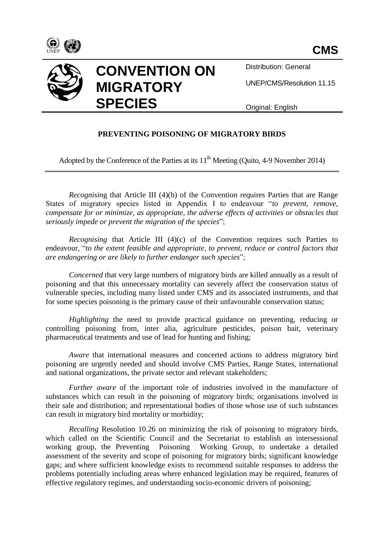



Distribution: General

UNEP/CMS/Resolution 11.15

Original: English

# **PREVENTING POISONING OF MIGRATORY BIRDS**

Adopted by the Conference of the Parties at its  $11<sup>th</sup>$  Meeting (Ouito, 4-9 November 2014)

*Recognising* that Article III (4)(b) of the Convention requires Parties that are Range States of migratory species listed in Appendix I to endeavour "*to prevent, remove, compensate for or minimize, as appropriate, the adverse effects of activities or obstacles that seriously impede or prevent the migration of the species*";

*Recognising* that Article III (4)(c) of the Convention requires such Parties to endeavour, "*to the extent feasible and appropriate, to prevent, reduce or control factors that are endangering or are likely to further endanger such species*";

*Concerned* that very large numbers of migratory birds are killed annually as a result of poisoning and that this unnecessary mortality can severely affect the conservation status of vulnerable species, including many listed under CMS and its associated instruments, and that for some species poisoning is the primary cause of their unfavourable conservation status;

*Highlighting* the need to provide practical guidance on preventing, reducing or controlling poisoning from, inter alia, agriculture pesticides, poison bait, veterinary pharmaceutical treatments and use of lead for hunting and fishing;

*Aware* that international measures and concerted actions to address migratory bird poisoning are urgently needed and should involve CMS Parties, Range States, international and national organizations, the private sector and relevant stakeholders;

*Further aware* of the important role of industries involved in the manufacture of substances which can result in the poisoning of migratory birds; organisations involved in their sale and distribution; and representational bodies of those whose use of such substances can result in migratory bird mortality or morbidity;

*Recalling* Resolution 10.26 on minimizing the risk of poisoning to migratory birds, which called on the Scientific Council and the Secretariat to establish an intersessional working group, the Preventing Poisoning Working Group, to undertake a detailed assessment of the severity and scope of poisoning for migratory birds; significant knowledge gaps; and where sufficient knowledge exists to recommend suitable responses to address the problems potentially including areas where enhanced legislation may be required, features of effective regulatory regimes, and understanding socio-economic drivers of poisoning;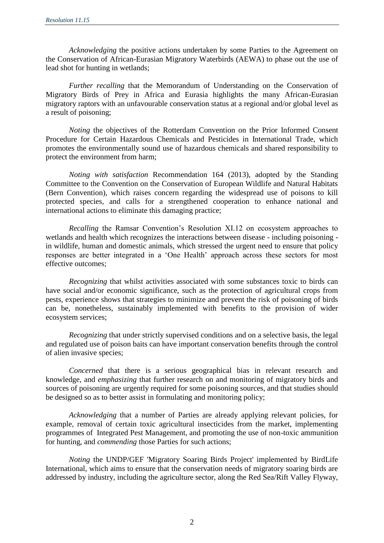*Acknowledging* the positive actions undertaken by some Parties to the Agreement on the Conservation of African-Eurasian Migratory Waterbirds (AEWA) to phase out the use of lead shot for hunting in wetlands;

*Further recalling* that the Memorandum of Understanding on the Conservation of Migratory Birds of Prey in Africa and Eurasia highlights the many African-Eurasian migratory raptors with an unfavourable conservation status at a regional and/or global level as a result of poisoning;

*Noting* the objectives of the Rotterdam Convention on the Prior Informed Consent Procedure for Certain Hazardous Chemicals and Pesticides in International Trade, which promotes the environmentally sound use of hazardous chemicals and shared responsibility to protect the environment from harm;

*Noting with satisfaction* Recommendation 164 (2013), adopted by the Standing Committee to the Convention on the Conservation of European Wildlife and Natural Habitats (Bern Convention), which raises concern regarding the widespread use of poisons to kill protected species, and calls for a strengthened cooperation to enhance national and international actions to eliminate this damaging practice;

*Recalling* the Ramsar Convention's Resolution XI.12 on ecosystem approaches to wetlands and health which recognizes the interactions between disease - including poisoning in wildlife, human and domestic animals, which stressed the urgent need to ensure that policy responses are better integrated in a 'One Health' approach across these sectors for most effective outcomes;

*Recognizing* that whilst activities associated with some substances toxic to birds can have social and/or economic significance, such as the protection of agricultural crops from pests, experience shows that strategies to minimize and prevent the risk of poisoning of birds can be, nonetheless, sustainably implemented with benefits to the provision of wider ecosystem services;

*Recognizing* that under strictly supervised conditions and on a selective basis, the legal and regulated use of poison baits can have important conservation benefits through the control of alien invasive species;

*Concerned* that there is a serious geographical bias in relevant research and knowledge, and *emphasizing* that further research on and monitoring of migratory birds and sources of poisoning are urgently required for some poisoning sources, and that studies should be designed so as to better assist in formulating and monitoring policy;

*Acknowledging* that a number of Parties are already applying relevant policies, for example, removal of certain toxic agricultural insecticides from the market, implementing programmes of Integrated Pest Management, and promoting the use of non-toxic ammunition for hunting, and *commending* those Parties for such actions;

*Noting* the UNDP/GEF 'Migratory Soaring Birds Project' implemented by BirdLife International, which aims to ensure that the conservation needs of migratory soaring birds are addressed by industry, including the agriculture sector, along the Red Sea/Rift Valley Flyway,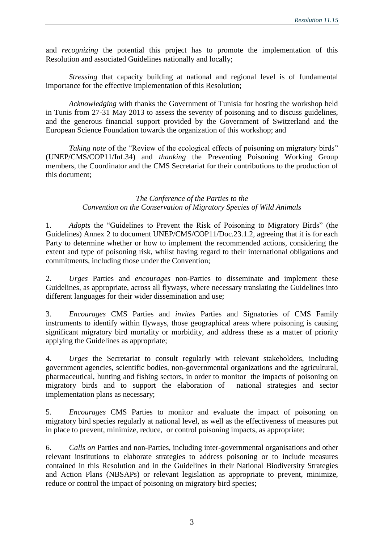and *recognizing* the potential this project has to promote the implementation of this Resolution and associated Guidelines nationally and locally;

*Stressing* that capacity building at national and regional level is of fundamental importance for the effective implementation of this Resolution;

*Acknowledging* with thanks the Government of Tunisia for hosting the workshop held in Tunis from 27-31 May 2013 to assess the severity of poisoning and to discuss guidelines, and the generous financial support provided by the Government of Switzerland and the European Science Foundation towards the organization of this workshop; and

*Taking note* of the "Review of the ecological effects of poisoning on migratory birds" (UNEP/CMS/COP11/Inf.34) and *thanking* the Preventing Poisoning Working Group members, the Coordinator and the CMS Secretariat for their contributions to the production of this document;

### *The Conference of the Parties to the Convention on the Conservation of Migratory Species of Wild Animals*

1. *Adopts* the "Guidelines to Prevent the Risk of Poisoning to Migratory Birds" (the Guidelines) Annex 2 to document UNEP/CMS/COP11/Doc.23.1.2, agreeing that it is for each Party to determine whether or how to implement the recommended actions, considering the extent and type of poisoning risk, whilst having regard to their international obligations and commitments, including those under the Convention;

2. *Urges* Parties and *encourages* non-Parties to disseminate and implement these Guidelines, as appropriate, across all flyways, where necessary translating the Guidelines into different languages for their wider dissemination and use;

3. *Encourages* CMS Parties and *invites* Parties and Signatories of CMS Family instruments to identify within flyways, those geographical areas where poisoning is causing significant migratory bird mortality or morbidity, and address these as a matter of priority applying the Guidelines as appropriate;

4. *Urges* the Secretariat to consult regularly with relevant stakeholders, including government agencies, scientific bodies, non-governmental organizations and the agricultural, pharmaceutical, hunting and fishing sectors, in order to monitor the impacts of poisoning on migratory birds and to support the elaboration of national strategies and sector implementation plans as necessary;

5. *Encourages* CMS Parties to monitor and evaluate the impact of poisoning on migratory bird species regularly at national level, as well as the effectiveness of measures put in place to prevent, minimize, reduce, or control poisoning impacts, as appropriate;

6. *Calls on* Parties and non-Parties, including inter-governmental organisations and other relevant institutions to elaborate strategies to address poisoning or to include measures contained in this Resolution and in the Guidelines in their National Biodiversity Strategies and Action Plans (NBSAPs) or relevant legislation as appropriate to prevent, minimize, reduce or control the impact of poisoning on migratory bird species;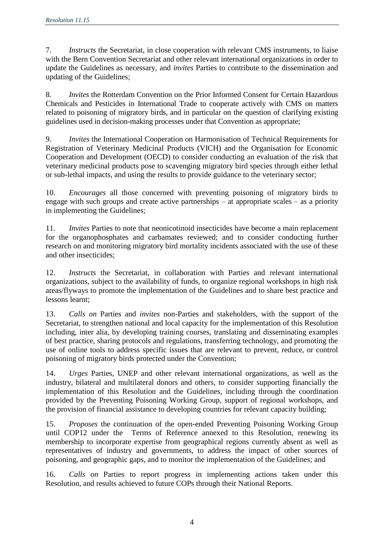7. *Instructs* the Secretariat, in close cooperation with relevant CMS instruments, to liaise with the Bern Convention Secretariat and other relevant international organizations in order to update the Guidelines as necessary, and *invites* Parties to contribute to the dissemination and updating of the Guidelines;

8. *Invites* the Rotterdam Convention on the Prior Informed Consent for Certain Hazardous Chemicals and Pesticides in International Trade to cooperate actively with CMS on matters related to poisoning of migratory birds, and in particular on the question of clarifying existing guidelines used in decision-making processes under that Convention as appropriate;

9. *Invites* the International Cooperation on Harmonisation of Technical Requirements for Registration of Veterinary Medicinal Products (VICH) and the Organisation for Economic Cooperation and Development (OECD) to consider conducting an evaluation of the risk that veterinary medicinal products pose to scavenging migratory bird species through either lethal or sub-lethal impacts, and using the results to provide guidance to the veterinary sector;

10. *Encourages* all those concerned with preventing poisoning of migratory birds to engage with such groups and create active partnerships – at appropriate scales – as a priority in implementing the Guidelines;

11. *Invites* Parties to note that neonicotinoid insecticides have become a main replacement for the organophosphates and carbamates reviewed; and to consider conducting further research on and monitoring migratory bird mortality incidents associated with the use of these and other insecticides;

12. *Instructs* the Secretariat, in collaboration with Parties and relevant international organizations, subject to the availability of funds, to organize regional workshops in high risk areas/flyways to promote the implementation of the Guidelines and to share best practice and lessons learnt;

13. *Calls on* Parties and *invites* non-Parties and stakeholders, with the support of the Secretariat, to strengthen national and local capacity for the implementation of this Resolution including, inter alia, by developing training courses, translating and disseminating examples of best practice, sharing protocols and regulations, transferring technology, and promoting the use of online tools to address specific issues that are relevant to prevent, reduce, or control poisoning of migratory birds protected under the Convention;

14. *Urges* Parties, UNEP and other relevant international organizations, as well as the industry, bilateral and multilateral donors and others, to consider supporting financially the implementation of this Resolution and the Guidelines, including through the coordination provided by the Preventing Poisoning Working Group, support of regional workshops, and the provision of financial assistance to developing countries for relevant capacity building;

15. *Proposes* the continuation of the open-ended Preventing Poisoning Working Group until COP12 under the Terms of Reference annexed to this Resolution, renewing its membership to incorporate expertise from geographical regions currently absent as well as representatives of industry and governments, to address the impact of other sources of poisoning, and geographic gaps, and to monitor the implementation of the Guidelines; and

16. *Calls on* Parties to report progress in implementing actions taken under this Resolution, and results achieved to future COPs through their National Reports.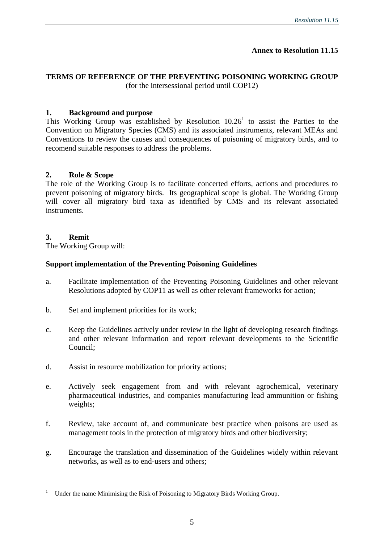## **Annex to Resolution 11.15**

## **TERMS OF REFERENCE OF THE PREVENTING POISONING WORKING GROUP**  (for the intersessional period until COP12)

### **1. Background and purpose**

This Working Group was established by Resolution  $10.26<sup>1</sup>$  to assist the Parties to the Convention on Migratory Species (CMS) and its associated instruments, relevant MEAs and Conventions to review the causes and consequences of poisoning of migratory birds, and to recomend suitable responses to address the problems.

### **2. Role & Scope**

The role of the Working Group is to facilitate concerted efforts, actions and procedures to prevent poisoning of migratory birds. Its geographical scope is global. The Working Group will cover all migratory bird taxa as identified by CMS and its relevant associated instruments.

### **3. Remit**

 $\overline{a}$ 

The Working Group will:

### **Support implementation of the Preventing Poisoning Guidelines**

- a. Facilitate implementation of the Preventing Poisoning Guidelines and other relevant Resolutions adopted by COP11 as well as other relevant frameworks for action;
- b. Set and implement priorities for its work;
- c. Keep the Guidelines actively under review in the light of developing research findings and other relevant information and report relevant developments to the Scientific Council;
- d. Assist in resource mobilization for priority actions;
- e. Actively seek engagement from and with relevant agrochemical, veterinary pharmaceutical industries, and companies manufacturing lead ammunition or fishing weights;
- f. Review, take account of, and communicate best practice when poisons are used as management tools in the protection of migratory birds and other biodiversity;
- g. Encourage the translation and dissemination of the Guidelines widely within relevant networks, as well as to end-users and others;

<sup>1</sup> Under the name Minimising the Risk of Poisoning to Migratory Birds Working Group.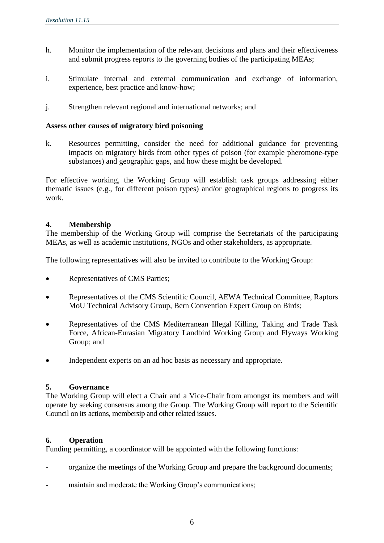- h. Monitor the implementation of the relevant decisions and plans and their effectiveness and submit progress reports to the governing bodies of the participating MEAs;
- i. Stimulate internal and external communication and exchange of information, experience, best practice and know-how;
- j. Strengthen relevant regional and international networks; and

#### **Assess other causes of migratory bird poisoning**

k. Resources permitting, consider the need for additional guidance for preventing impacts on migratory birds from other types of poison (for example pheromone-type substances) and geographic gaps, and how these might be developed.

For effective working, the Working Group will establish task groups addressing either thematic issues (e.g., for different poison types) and/or geographical regions to progress its work.

### **4. Membership**

The membership of the Working Group will comprise the Secretariats of the participating MEAs, as well as academic institutions, NGOs and other stakeholders, as appropriate.

The following representatives will also be invited to contribute to the Working Group:

- Representatives of CMS Parties;
- Representatives of the CMS Scientific Council, AEWA Technical Committee, Raptors MoU Technical Advisory Group, Bern Convention Expert Group on Birds;
- Representatives of the CMS Mediterranean Illegal Killing, Taking and Trade Task Force, African-Eurasian Migratory Landbird Working Group and Flyways Working Group; and
- Independent experts on an ad hoc basis as necessary and appropriate.

#### **5. Governance**

The Working Group will elect a Chair and a Vice-Chair from amongst its members and will operate by seeking consensus among the Group. The Working Group will report to the Scientific Council on its actions, membersip and other related issues.

#### **6. Operation**

Funding permitting, a coordinator will be appointed with the following functions:

- organize the meetings of the Working Group and prepare the background documents;
- maintain and moderate the Working Group's communications;